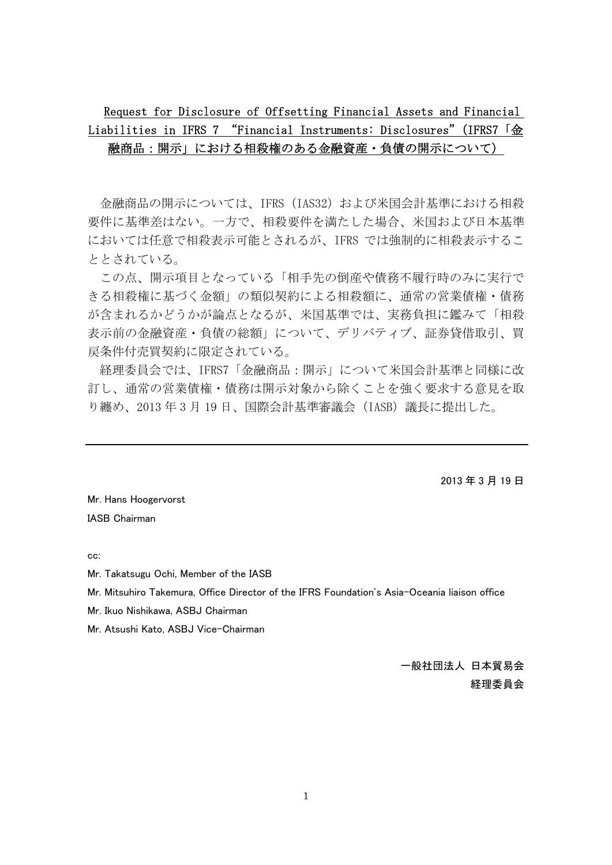## Request for Disclosure of Offsetting Financial Assets and Financial Liabilities in IFRS 7 "Financial Instruments: Disclosures" (IFRS7 「金 融商品:開示」における相殺権のある金融資産・負債の開示について)

金融商品の開示については、IFRS(IAS32)および米国会計基準における相殺 要件に基準差はない。一方で、相殺要件を満たした場合、米国および日本基準 においては任意で相殺表示可能とされるが、IFRS では強制的に相殺表示するこ ととされている。

この点、開示項目となっている「相手先の倒産や債務不履行時のみに実行で きる相殺権に基づく金額」の類似契約による相殺額に、通常の営業債権・債務 が含まれるかどうかが論点となるが、米国基準では、実務負担に鑑みて「相殺 表示前の金融資産・負債の総額」について、デリバティブ、証券貸借取引、買 戻条件付売買契約に限定されている。

経理委員会では、IFRS7「金融商品:開示」について米国会計基準と同様に改 訂し、通常の営業債権・債務は開示対象から除くことを強く要求する意見を取 り纏め、2013 年 3 月 19 日、国際会計基準審議会(IASB)議長に提出した。

2013 年 3 月 19 日

Mr. Hans Hoogervorst IASB Chairman

cc:

Mr. Takatsugu Ochi, Member of the IASB

Mr. Mitsuhiro Takemura, Office Director of the IFRS Foundation's Asia-Oceania liaison office

Mr. Ikuo Nishikawa, ASBJ Chairman

Mr. Atsushi Kato, ASBJ Vice-Chairman

一般社団法人 日本貿易会 経理委員会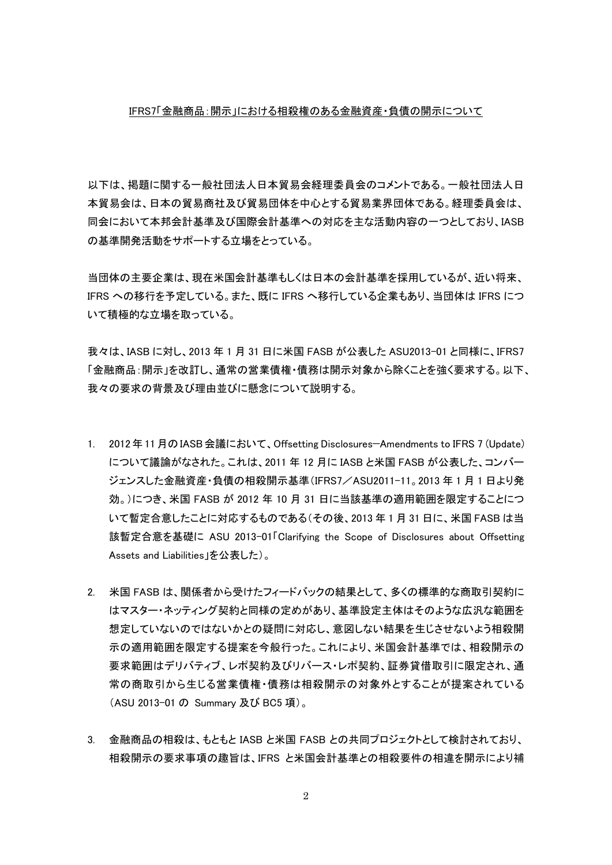#### IFRS7「金融商品:開示」における相殺権のある金融資産・負債の開示について

以下は、掲題に関する一般社団法人日本貿易会経理委員会のコメントである。一般社団法人日 本貿易会は、日本の貿易商社及び貿易団体を中心とする貿易業界団体である。経理委員会は、 同会において本邦会計基準及び国際会計基準への対応を主な活動内容の一つとしており、IASB の基準開発活動をサポートする立場をとっている。

当団体の主要企業は、現在米国会計基準もしくは日本の会計基準を採用しているが、近い将来、 IFRS への移行を予定している。また、既に IFRS へ移行している企業もあり、当団体は IFRS につ いて積極的な立場を取っている。

我々は、IASB に対し、2013 年 1 月 31 日に米国 FASB が公表した ASU2013-01 と同様に、IFRS7 「金融商品:開示」を改訂し、通常の営業債権・債務は開示対象から除くことを強く要求する。以下、 我々の要求の背景及び理由並びに懸念について説明する。

- 1. 2012年11月のIASB会議において、Offsetting Disclosures—Amendments to IFRS 7 (Update) について議論がなされた。これは、2011 年 12 月に IASB と米国 FASB が公表した、コンバー ジェンスした金融資産・負債の相殺開示基準(IFRS7/ASU2011-11。2013 年 1 月 1 日より発 効。)につき、米国 FASB が 2012 年 10 月 31 日に当該基準の適用範囲を限定することにつ いて暫定合意したことに対応するものである(その後、2013 年 1 月 31 日に、米国 FASB は当 該暫定合意を基礎に ASU 2013-01「Clarifying the Scope of Disclosures about Offsetting Assets and Liabilities」を公表した)。
- 2. 米国 FASB は、関係者から受けたフィードバックの結果として、多くの標準的な商取引契約に はマスター・ネッティング契約と同様の定めがあり、基準設定主体はそのような広汎な範囲を 想定していないのではないかとの疑問に対応し、意図しない結果を生じさせないよう相殺開 示の適用範囲を限定する提案を今般行った。これにより、米国会計基準では、相殺開示の 要求範囲はデリバティブ、レポ契約及びリバース・レポ契約、証券貸借取引に限定され、通 常の商取引から生じる営業債権・債務は相殺開示の対象外とすることが提案されている (ASU 2013-01 の Summary 及び BC5 項)。
- 3. 金融商品の相殺は、もともと IASB と米国 FASB との共同プロジェクトとして検討されており、 相殺開示の要求事項の趣旨は、IFRS と米国会計基準との相殺要件の相違を開示により補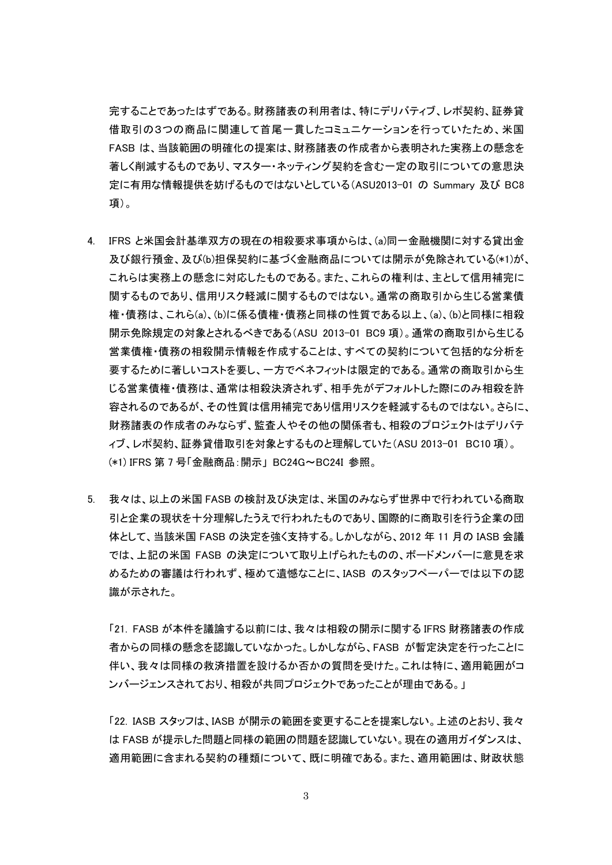完することであったはずである。財務諸表の利用者は、特にデリバティブ、レポ契約、証券貸 借取引の3つの商品に関連して首尾一貫したコミュニケーションを行っていたため、米国 FASB は、当該範囲の明確化の提案は、財務諸表の作成者から表明された実務上の懸念を 著しく削減するものであり、マスター・ネッティング契約を含む一定の取引についての意思決 定に有用な情報提供を妨げるものではないとしている(ASU2013-01 の Summary 及び BC8 項)。

- 4. IFRS と米国会計基準双方の現在の相殺要求事項からは、(a)同一金融機関に対する貸出金 及び銀行預金、及び(b)担保契約に基づく金融商品については開示が免除されている(\*1)が、 これらは実務上の懸念に対応したものである。また、これらの権利は、主として信用補完に 関するものであり、信用リスク軽減に関するものではない。通常の商取引から生じる営業債 権・債務は、これら(a)、(b)に係る債権・債務と同様の性質である以上、(a)、(b)と同様に相殺 開示免除規定の対象とされるべきである(ASU 2013-01 BC9 項)。通常の商取引から生じる 営業債権・債務の相殺開示情報を作成することは、すべての契約について包括的な分析を 要するために著しいコストを要し、一方でベネフィットは限定的である。通常の商取引から生 じる営業債権・債務は、通常は相殺決済されず、相手先がデフォルトした際にのみ相殺を許 容されるのであるが、その性質は信用補完であり信用リスクを軽減するものではない。さらに、 財務諸表の作成者のみならず、監査人やその他の関係者も、相殺のプロジェクトはデリバテ ィブ、レポ契約、証券貸借取引を対象とするものと理解していた(ASU 2013-01 BC10 項)。 (\*1) IFRS 第 7 号「金融商品:開示」 BC24G~BC24I 参照。
- 5. 我々は、以上の米国 FASB の検討及び決定は、米国のみならず世界中で行われている商取 引と企業の現状を十分理解したうえで行われたものであり、国際的に商取引を行う企業の団 体として、当該米国 FASB の決定を強く支持する。しかしながら、2012 年 11 月の IASB 会議 では、上記の米国 FASB の決定について取り上げられたものの、ボードメンバーに意見を求 めるための審議は行われず、極めて遺憾なことに、IASB のスタッフペーパーでは以下の認 識が示された。

「21. FASB が本件を議論する以前には、我々は相殺の開示に関する IFRS 財務諸表の作成 者からの同様の懸念を認識していなかった。しかしながら、FASB が暫定決定を行ったことに 伴い、我々は同様の救済措置を設けるか否かの質問を受けた。これは特に、適用範囲がコ ンバージェンスされており、相殺が共同プロジェクトであったことが理由である。」

「22. IASB スタッフは、IASB が開示の範囲を変更することを提案しない。上述のとおり、我々 は FASB が提示した問題と同様の範囲の問題を認識していない。現在の適用ガイダンスは、 適用範囲に含まれる契約の種類について、既に明確である。また、適用範囲は、財政状態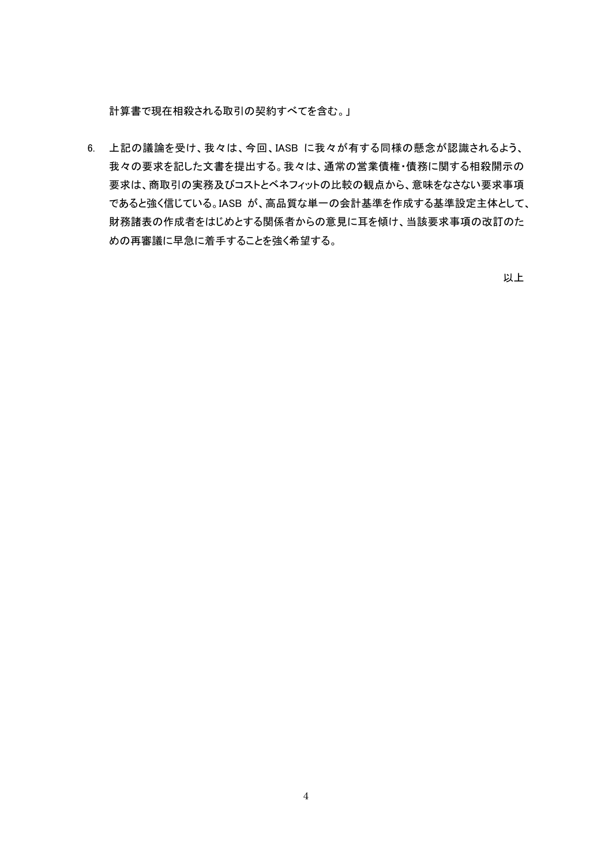計算書で現在相殺される取引の契約すべてを含む。」

6. 上記の議論を受け、我々は、今回、IASB に我々が有する同様の懸念が認識されるよう、 我々の要求を記した文書を提出する。我々は、通常の営業債権・債務に関する相殺開示の 要求は、商取引の実務及びコストとベネフィットの比較の観点から、意味をなさない要求事項 であると強く信じている。IASB が、高品質な単一の会計基準を作成する基準設定主体として、 財務諸表の作成者をはじめとする関係者からの意見に耳を傾け、当該要求事項の改訂のた めの再審議に早急に着手することを強く希望する。

以上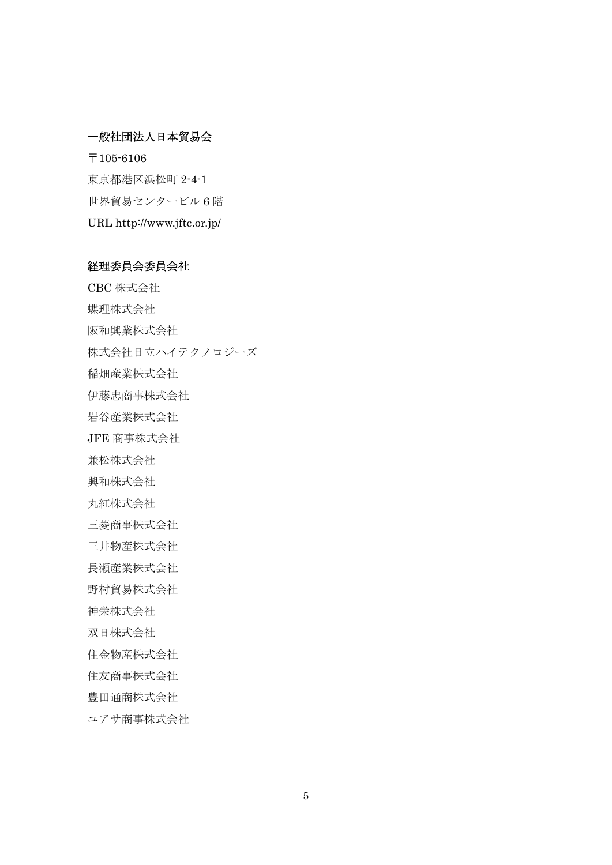#### 一般社団法人日本貿易会

〒105-6106 東京都港区浜松町 2-4-1 世界貿易センタービル 6 階 URL http://www.jftc.or.jp/

### 経理委員会委員会社

CBC 株式会社 蝶理株式会社 阪和興業株式会社 株式会社日立ハイテクノロジーズ 稲畑産業株式会社 伊藤忠商事株式会社 岩谷産業株式会社 JFE 商事株式会社 兼松株式会社 興和株式会社 丸紅株式会社 三菱商事株式会社 三井物産株式会社 長瀬産業株式会社 野村貿易株式会社 神栄株式会社 双日株式会社 住金物産株式会社 住友商事株式会社 豊田通商株式会社 ユアサ商事株式会社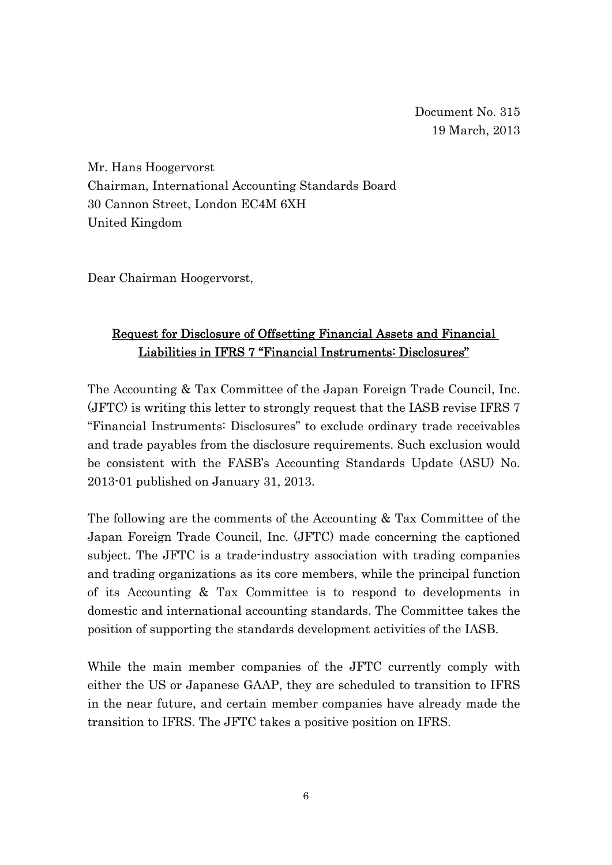Mr. Hans Hoogervorst Chairman, International Accounting Standards Board 30 Cannon Street, London EC4M 6XH United Kingdom

Dear Chairman Hoogervorst,

# Request for Disclosure of Offsetting Financial Assets and Financial Liabilities in IFRS 7 "Financial Instruments: Disclosures"

The Accounting & Tax Committee of the Japan Foreign Trade Council, Inc. (JFTC) is writing this letter to strongly request that the IASB revise IFRS 7 "Financial Instruments: Disclosures" to exclude ordinary trade receivables and trade payables from the disclosure requirements. Such exclusion would be consistent with the FASB's Accounting Standards Update (ASU) No. 2013-01 published on January 31, 2013.

The following are the comments of the Accounting & Tax Committee of the Japan Foreign Trade Council, Inc. (JFTC) made concerning the captioned subject. The JFTC is a trade-industry association with trading companies and trading organizations as its core members, while the principal function of its Accounting & Tax Committee is to respond to developments in domestic and international accounting standards. The Committee takes the position of supporting the standards development activities of the IASB.

While the main member companies of the JFTC currently comply with either the US or Japanese GAAP, they are scheduled to transition to IFRS in the near future, and certain member companies have already made the transition to IFRS. The JFTC takes a positive position on IFRS.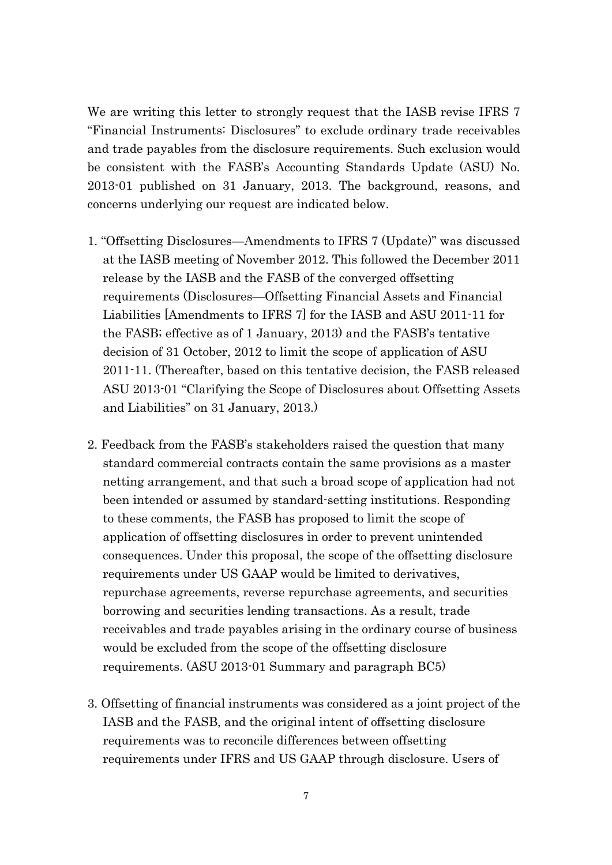We are writing this letter to strongly request that the IASB revise IFRS 7 "Financial Instruments: Disclosures" to exclude ordinary trade receivables and trade payables from the disclosure requirements. Such exclusion would be consistent with the FASB's Accounting Standards Update (ASU) No. 2013-01 published on 31 January, 2013. The background, reasons, and concerns underlying our request are indicated below.

- 1. "Offsetting Disclosures—Amendments to IFRS 7 (Update)" was discussed at the IASB meeting of November 2012. This followed the December 2011 release by the IASB and the FASB of the converged offsetting requirements (Disclosures—Offsetting Financial Assets and Financial Liabilities [Amendments to IFRS 7] for the IASB and ASU 2011-11 for the FASB; effective as of 1 January, 2013) and the FASB's tentative decision of 31 October, 2012 to limit the scope of application of ASU 2011-11. (Thereafter, based on this tentative decision, the FASB released ASU 2013-01 "Clarifying the Scope of Disclosures about Offsetting Assets and Liabilities" on 31 January, 2013.)
- 2. Feedback from the FASB's stakeholders raised the question that many standard commercial contracts contain the same provisions as a master netting arrangement, and that such a broad scope of application had not been intended or assumed by standard-setting institutions. Responding to these comments, the FASB has proposed to limit the scope of application of offsetting disclosures in order to prevent unintended consequences. Under this proposal, the scope of the offsetting disclosure requirements under US GAAP would be limited to derivatives, repurchase agreements, reverse repurchase agreements, and securities borrowing and securities lending transactions. As a result, trade receivables and trade payables arising in the ordinary course of business would be excluded from the scope of the offsetting disclosure requirements. (ASU 2013-01 Summary and paragraph BC5)
- 3. Offsetting of financial instruments was considered as a joint project of the IASB and the FASB, and the original intent of offsetting disclosure requirements was to reconcile differences between offsetting requirements under IFRS and US GAAP through disclosure. Users of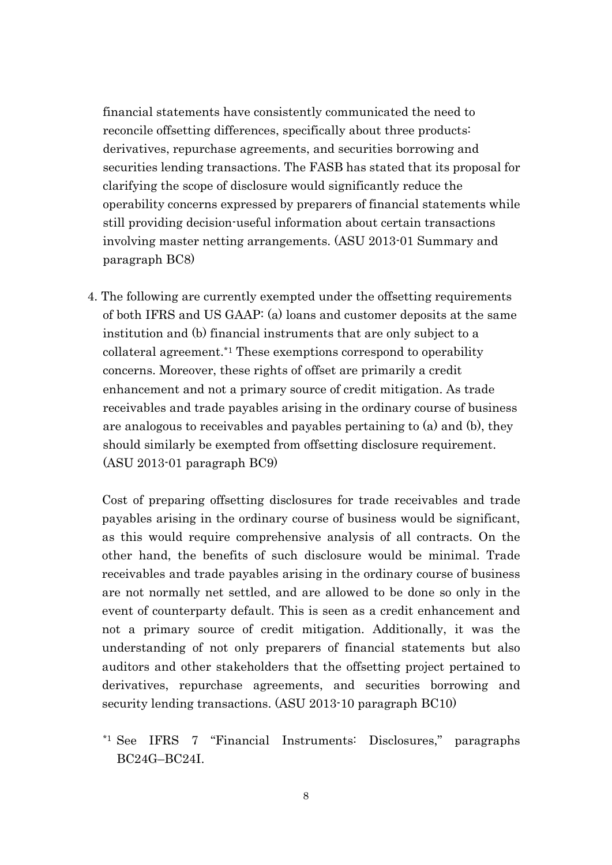financial statements have consistently communicated the need to reconcile offsetting differences, specifically about three products: derivatives, repurchase agreements, and securities borrowing and securities lending transactions. The FASB has stated that its proposal for clarifying the scope of disclosure would significantly reduce the operability concerns expressed by preparers of financial statements while still providing decision-useful information about certain transactions involving master netting arrangements. (ASU 2013-01 Summary and paragraph BC8)

4. The following are currently exempted under the offsetting requirements of both IFRS and US GAAP: (a) loans and customer deposits at the same institution and (b) financial instruments that are only subject to a collateral agreement.\*1 These exemptions correspond to operability concerns. Moreover, these rights of offset are primarily a credit enhancement and not a primary source of credit mitigation. As trade receivables and trade payables arising in the ordinary course of business are analogous to receivables and payables pertaining to (a) and (b), they should similarly be exempted from offsetting disclosure requirement. (ASU 2013-01 paragraph BC9)

Cost of preparing offsetting disclosures for trade receivables and trade payables arising in the ordinary course of business would be significant, as this would require comprehensive analysis of all contracts. On the other hand, the benefits of such disclosure would be minimal. Trade receivables and trade payables arising in the ordinary course of business are not normally net settled, and are allowed to be done so only in the event of counterparty default. This is seen as a credit enhancement and not a primary source of credit mitigation. Additionally, it was the understanding of not only preparers of financial statements but also auditors and other stakeholders that the offsetting project pertained to derivatives, repurchase agreements, and securities borrowing and security lending transactions. (ASU 2013-10 paragraph BC10)

\*1 See IFRS 7 "Financial Instruments: Disclosures," paragraphs BC24G–BC24I.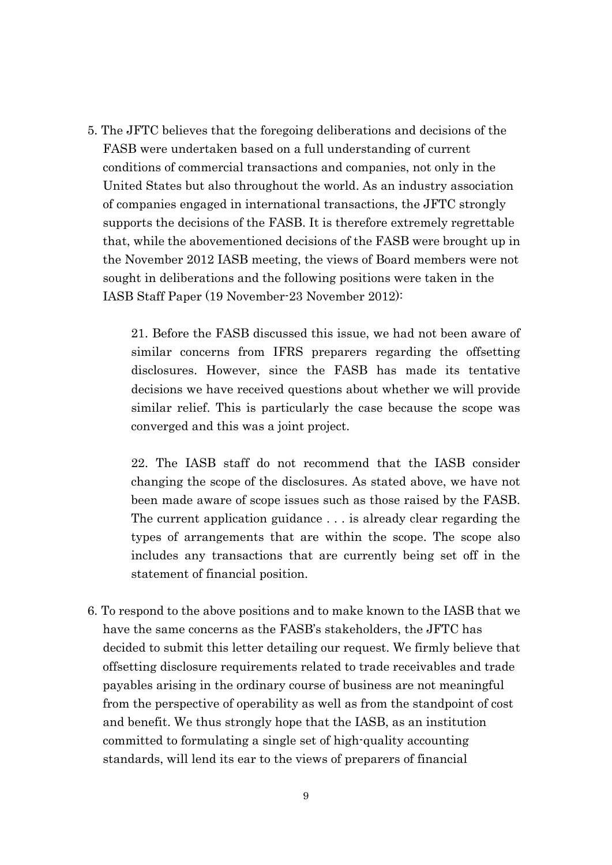5. The JFTC believes that the foregoing deliberations and decisions of the FASB were undertaken based on a full understanding of current conditions of commercial transactions and companies, not only in the United States but also throughout the world. As an industry association of companies engaged in international transactions, the JFTC strongly supports the decisions of the FASB. It is therefore extremely regrettable that, while the abovementioned decisions of the FASB were brought up in the November 2012 IASB meeting, the views of Board members were not sought in deliberations and the following positions were taken in the IASB Staff Paper (19 November-23 November 2012):

21. Before the FASB discussed this issue, we had not been aware of similar concerns from IFRS preparers regarding the offsetting disclosures. However, since the FASB has made its tentative decisions we have received questions about whether we will provide similar relief. This is particularly the case because the scope was converged and this was a joint project.

22. The IASB staff do not recommend that the IASB consider changing the scope of the disclosures. As stated above, we have not been made aware of scope issues such as those raised by the FASB. The current application guidance . . . is already clear regarding the types of arrangements that are within the scope. The scope also includes any transactions that are currently being set off in the statement of financial position.

6. To respond to the above positions and to make known to the IASB that we have the same concerns as the FASB's stakeholders, the JFTC has decided to submit this letter detailing our request. We firmly believe that offsetting disclosure requirements related to trade receivables and trade payables arising in the ordinary course of business are not meaningful from the perspective of operability as well as from the standpoint of cost and benefit. We thus strongly hope that the IASB, as an institution committed to formulating a single set of high-quality accounting standards, will lend its ear to the views of preparers of financial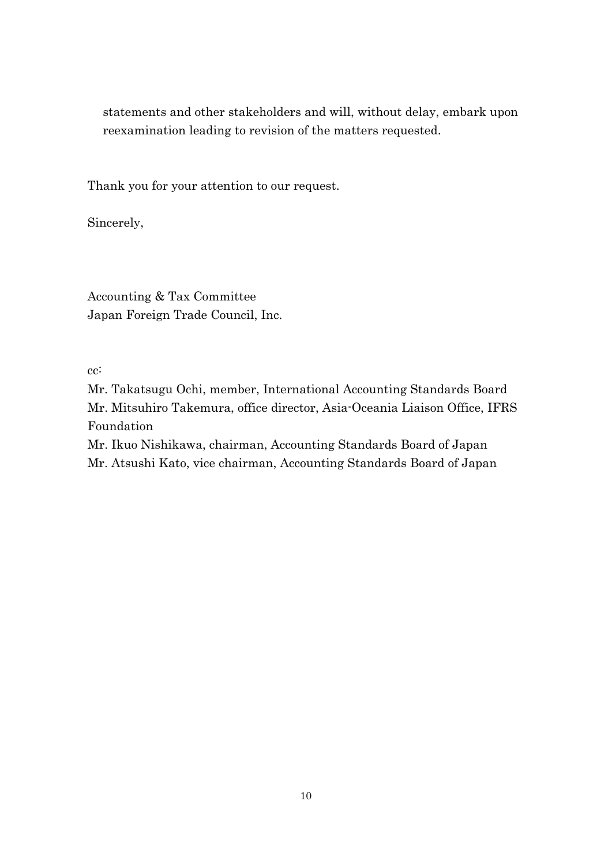statements and other stakeholders and will, without delay, embark upon reexamination leading to revision of the matters requested.

Thank you for your attention to our request.

Sincerely,

Accounting & Tax Committee Japan Foreign Trade Council, Inc.

cc:

Mr. Takatsugu Ochi, member, International Accounting Standards Board Mr. Mitsuhiro Takemura, office director, Asia-Oceania Liaison Office, IFRS Foundation

Mr. Ikuo Nishikawa, chairman, Accounting Standards Board of Japan Mr. Atsushi Kato, vice chairman, Accounting Standards Board of Japan